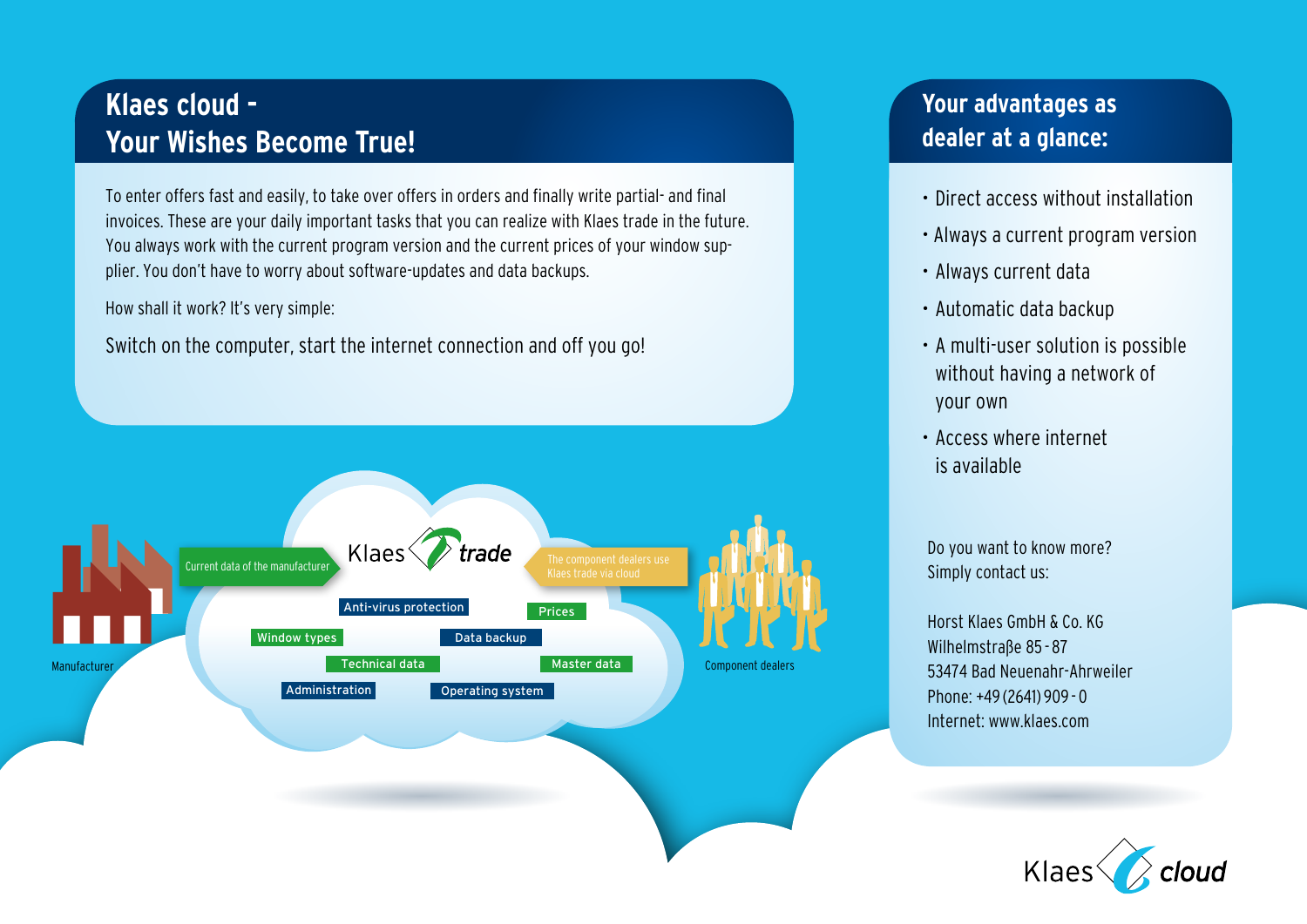# **Klaes cloud - Your Wishes Become True!**

To enter offers fast and easily, to take over offers in orders and finally write partial- and final invoices. These are your daily important tasks that you can realize with Klaes trade in the future. You always work with the current program version and the current prices of your window supplier. You don't have to worry about software-updates and data backups.

How shall it work? It's very simple:

Switch on the computer, start the internet connection and off you go!



## **Your advantages as dealer at a glance:**

- Direct access without installation
- Always a current program version
- Always current data
- Automatic data backup
- A multi-user solution is possible without having a network of your own
- Access where internet is available

Do you want to know more? Simply contact us:

Horst Klaes GmbH & Co. KG Wilhelmstraße 85 - 87 53474 Bad Neuenahr-Ahrweiler Phone: +49 (2641) 909 - 0 Internet: www.klaes.com